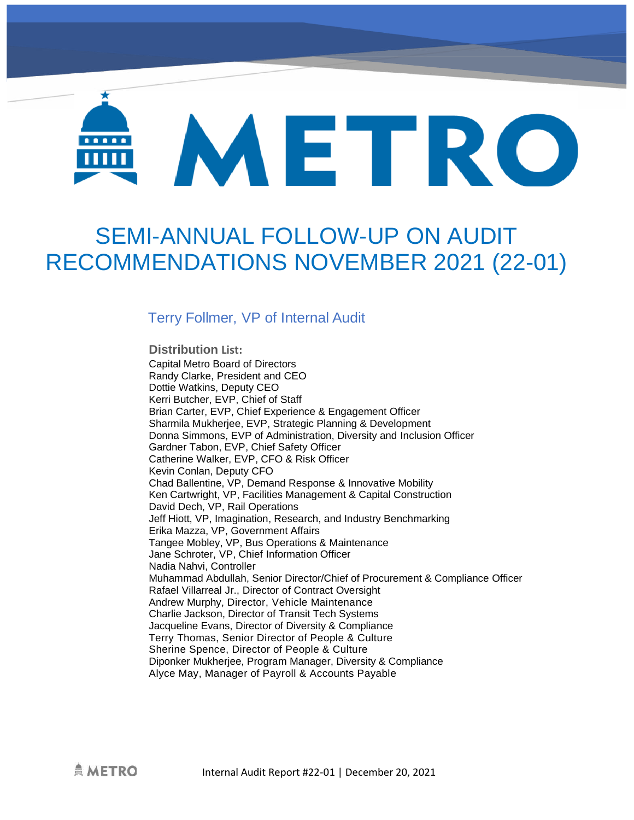# METRO .....

# SEMI-ANNUAL FOLLOW-UP ON AUDIT RECOMMENDATIONS NOVEMBER 2021 (22-01)

# Terry Follmer, VP of Internal Audit

#### **Distribution List:**

Capital Metro Board of Directors Randy Clarke, President and CEO Dottie Watkins, Deputy CEO Kerri Butcher, EVP, Chief of Staff Brian Carter, EVP, Chief Experience & Engagement Officer Sharmila Mukherjee, EVP, Strategic Planning & Development Donna Simmons, EVP of Administration, Diversity and Inclusion Officer Gardner Tabon, EVP, Chief Safety Officer Catherine Walker, EVP, CFO & Risk Officer Kevin Conlan, Deputy CFO Chad Ballentine, VP, Demand Response & Innovative Mobility Ken Cartwright, VP, Facilities Management & Capital Construction David Dech, VP, Rail Operations Jeff Hiott, VP, Imagination, Research, and Industry Benchmarking Erika Mazza, VP, Government Affairs Tangee Mobley, VP, Bus Operations & Maintenance Jane Schroter, VP, Chief Information Officer Nadia Nahvi, Controller Muhammad Abdullah, Senior Director/Chief of Procurement & Compliance Officer Rafael Villarreal Jr., Director of Contract Oversight Andrew Murphy, Director, Vehicle Maintenance Charlie Jackson, Director of Transit Tech Systems Jacqueline Evans, Director of Diversity & Compliance Terry Thomas, Senior Director of People & Culture Sherine Spence, Director of People & Culture Diponker Mukherjee, Program Manager, Diversity & Compliance Alyce May, Manager of Payroll & Accounts Payable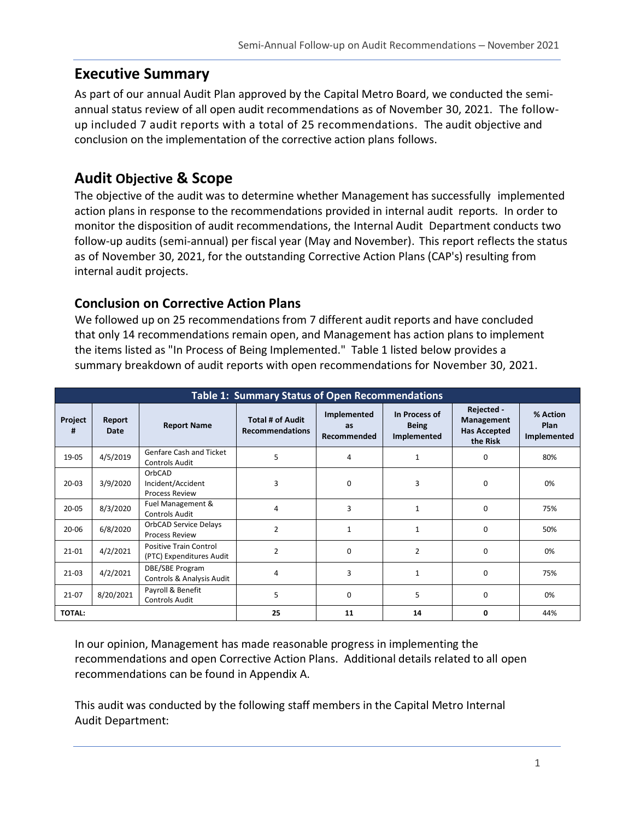# **Executive Summary**

As part of our annual Audit Plan approved by the Capital Metro Board, we conducted the semiannual status review of all open audit recommendations as of November 30, 2021. The followup included 7 audit reports with a total of 25 recommendations. The audit objective and conclusion on the implementation of the corrective action plans follows.

# **Audit Objective & Scope**

The objective of the audit was to determine whether Management has successfully implemented action plans in response to the recommendations provided in internal audit reports. In order to monitor the disposition of audit recommendations, the Internal Audit Department conducts two follow-up audits (semi-annual) per fiscal year (May and November). This report reflects the status as of November 30, 2021, for the outstanding Corrective Action Plans (CAP's) resulting from internal audit projects.

## **Conclusion on Corrective Action Plans**

We followed up on 25 recommendations from 7 different audit reports and have concluded that only 14 recommendations remain open, and Management has action plans to implement the items listed as "In Process of Being Implemented." Table 1 listed below provides a summary breakdown of audit reports with open recommendations for November 30, 2021.

| <b>Table 1: Summary Status of Open Recommendations</b> |                |                                                           |                                                   |                                         |                                              |                                                                    |                                        |
|--------------------------------------------------------|----------------|-----------------------------------------------------------|---------------------------------------------------|-----------------------------------------|----------------------------------------------|--------------------------------------------------------------------|----------------------------------------|
| Project<br>#                                           | Report<br>Date | <b>Report Name</b>                                        | <b>Total # of Audit</b><br><b>Recommendations</b> | Implemented<br><b>as</b><br>Recommended | In Process of<br><b>Being</b><br>Implemented | Rejected -<br><b>Management</b><br><b>Has Accepted</b><br>the Risk | % Action<br><b>Plan</b><br>Implemented |
| 19-05                                                  | 4/5/2019       | Genfare Cash and Ticket<br><b>Controls Audit</b>          | 5                                                 | 4                                       | $\mathbf{1}$                                 | 0                                                                  | 80%                                    |
| $20 - 03$                                              | 3/9/2020       | OrbCAD<br>Incident/Accident<br><b>Process Review</b>      | 3                                                 | 0                                       | 3                                            | 0                                                                  | 0%                                     |
| $20 - 05$                                              | 8/3/2020       | Fuel Management &<br><b>Controls Audit</b>                | 4                                                 | 3                                       | $\mathbf{1}$                                 | $\Omega$                                                           | 75%                                    |
| $20 - 06$                                              | 6/8/2020       | <b>OrbCAD Service Delays</b><br><b>Process Review</b>     | $\overline{2}$                                    | $\mathbf{1}$                            | $\mathbf{1}$                                 | 0                                                                  | 50%                                    |
| $21 - 01$                                              | 4/2/2021       | <b>Positive Train Control</b><br>(PTC) Expenditures Audit | $\overline{2}$                                    | $\Omega$                                | $\overline{2}$                               | $\Omega$                                                           | 0%                                     |
| $21-03$                                                | 4/2/2021       | DBE/SBE Program<br>Controls & Analysis Audit              | 4                                                 | 3                                       | 1                                            | 0                                                                  | 75%                                    |
| $21-07$                                                | 8/20/2021      | Payroll & Benefit<br><b>Controls Audit</b>                | 5                                                 | 0                                       | 5                                            | $\Omega$                                                           | 0%                                     |
| <b>TOTAL:</b>                                          |                |                                                           | 25                                                | 11                                      | 14                                           | 0                                                                  | 44%                                    |

In our opinion, Management has made reasonable progress in implementing the recommendations and open Corrective Action Plans. Additional details related to all open recommendations can be found in Appendix A.

This audit was conducted by the following staff members in the Capital Metro Internal Audit Department: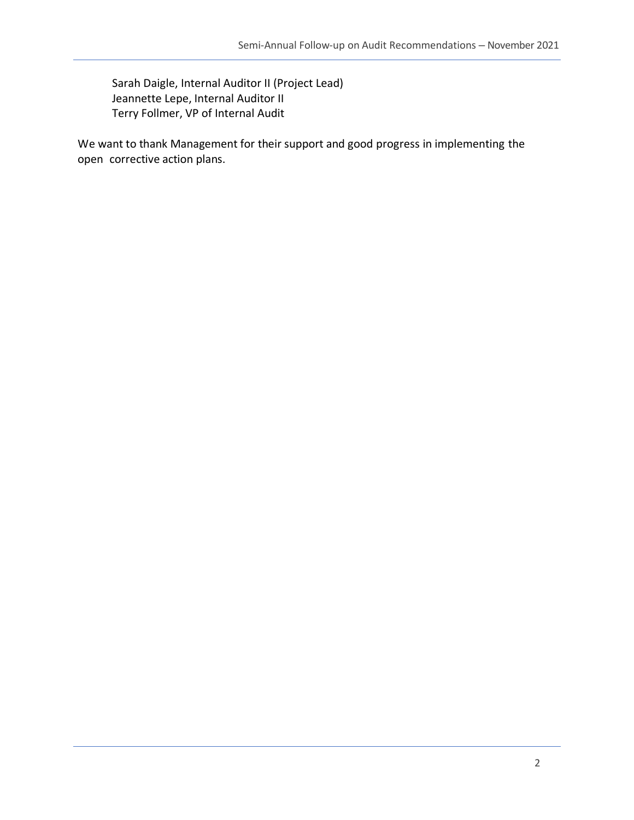Sarah Daigle, Internal Auditor II (Project Lead) Jeannette Lepe, Internal Auditor II Terry Follmer, VP of Internal Audit

We want to thank Management for their support and good progress in implementing the open corrective action plans.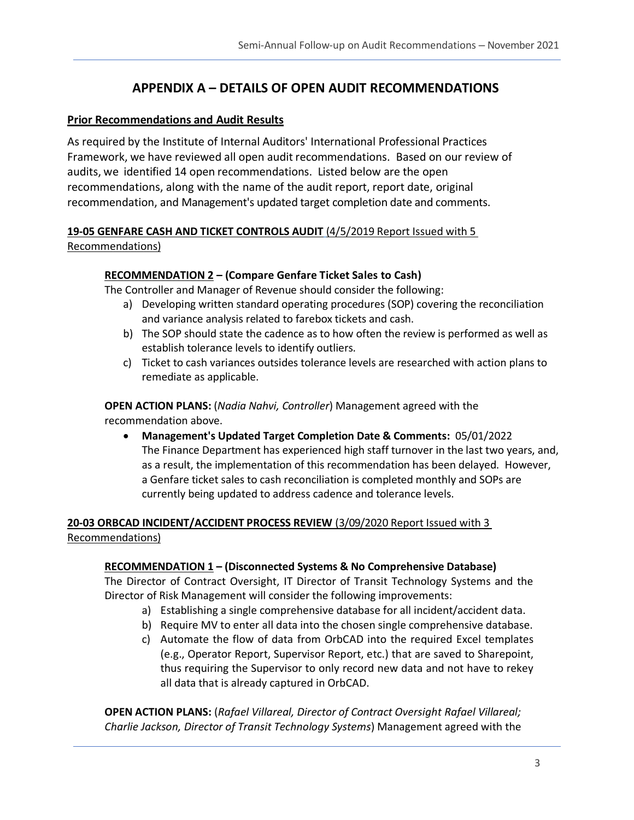## **APPENDIX A – DETAILS OF OPEN AUDIT RECOMMENDATIONS**

#### **Prior Recommendations and Audit Results**

As required by the Institute of Internal Auditors' International Professional Practices Framework, we have reviewed all open audit recommendations. Based on our review of audits, we identified 14 open recommendations. Listed below are the open recommendations, along with the name of the audit report, report date, original recommendation, and Management's updated target completion date and comments.

#### **19-05 GENFARE CASH AND TICKET CONTROLS AUDIT** (4/5/2019 Report Issued with 5

#### Recommendations)

#### **RECOMMENDATION 2 – (Compare Genfare Ticket Sales to Cash)**

The Controller and Manager of Revenue should consider the following:

- a) Developing written standard operating procedures (SOP) covering the reconciliation and variance analysis related to farebox tickets and cash.
- b) The SOP should state the cadence as to how often the review is performed as well as establish tolerance levels to identify outliers.
- c) Ticket to cash variances outsides tolerance levels are researched with action plans to remediate as applicable.

#### **OPEN ACTION PLANS:** (*Nadia Nahvi, Controller*) Management agreed with the recommendation above.

• **Management's Updated Target Completion Date & Comments:** 05/01/2022 The Finance Department has experienced high staff turnover in the last two years, and, as a result, the implementation of this recommendation has been delayed. However, a Genfare ticket sales to cash reconciliation is completed monthly and SOPs are currently being updated to address cadence and tolerance levels.

#### **20-03 ORBCAD INCIDENT/ACCIDENT PROCESS REVIEW** (3/09/2020 Report Issued with 3 Recommendations)

#### **RECOMMENDATION 1 – (Disconnected Systems & No Comprehensive Database)**

The Director of Contract Oversight, IT Director of Transit Technology Systems and the Director of Risk Management will consider the following improvements:

- a) Establishing a single comprehensive database for all incident/accident data.
- b) Require MV to enter all data into the chosen single comprehensive database.
- c) Automate the flow of data from OrbCAD into the required Excel templates (e.g., Operator Report, Supervisor Report, etc.) that are saved to Sharepoint, thus requiring the Supervisor to only record new data and not have to rekey all data that is already captured in OrbCAD.

**OPEN ACTION PLANS:** (*Rafael Villareal, Director of Contract Oversight Rafael Villareal; Charlie Jackson, Director of Transit Technology Systems*) Management agreed with the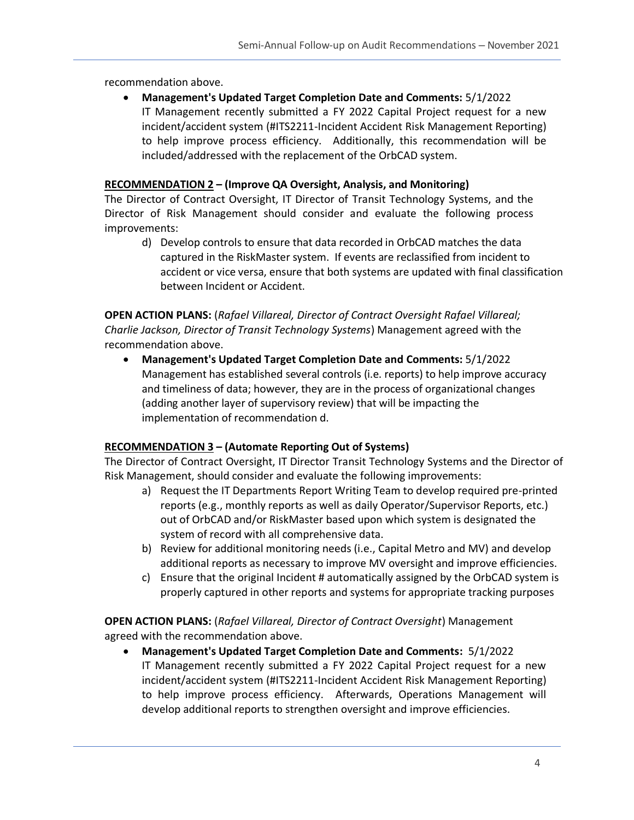recommendation above.

• **Management's Updated Target Completion Date and Comments:** 5/1/2022 IT Management recently submitted a FY 2022 Capital Project request for a new incident/accident system (#ITS2211-Incident Accident Risk Management Reporting) to help improve process efficiency. Additionally, this recommendation will be included/addressed with the replacement of the OrbCAD system.

#### **RECOMMENDATION 2 – (Improve QA Oversight, Analysis, and Monitoring)**

The Director of Contract Oversight, IT Director of Transit Technology Systems, and the Director of Risk Management should consider and evaluate the following process improvements:

d) Develop controls to ensure that data recorded in OrbCAD matches the data captured in the RiskMaster system. If events are reclassified from incident to accident or vice versa, ensure that both systems are updated with final classification between Incident or Accident.

**OPEN ACTION PLANS:** (*Rafael Villareal, Director of Contract Oversight Rafael Villareal; Charlie Jackson, Director of Transit Technology Systems*) Management agreed with the recommendation above.

• **Management's Updated Target Completion Date and Comments:** 5/1/2022 Management has established several controls (i.e. reports) to help improve accuracy and timeliness of data; however, they are in the process of organizational changes (adding another layer of supervisory review) that will be impacting the implementation of recommendation d.

#### **RECOMMENDATION 3 – (Automate Reporting Out of Systems)**

The Director of Contract Oversight, IT Director Transit Technology Systems and the Director of Risk Management, should consider and evaluate the following improvements:

- a) Request the IT Departments Report Writing Team to develop required pre-printed reports (e.g., monthly reports as well as daily Operator/Supervisor Reports, etc.) out of OrbCAD and/or RiskMaster based upon which system is designated the system of record with all comprehensive data.
- b) Review for additional monitoring needs (i.e., Capital Metro and MV) and develop additional reports as necessary to improve MV oversight and improve efficiencies.
- c) Ensure that the original Incident # automatically assigned by the OrbCAD system is properly captured in other reports and systems for appropriate tracking purposes

**OPEN ACTION PLANS:** (*Rafael Villareal, Director of Contract Oversight*) Management agreed with the recommendation above.

• **Management's Updated Target Completion Date and Comments:** 5/1/2022 IT Management recently submitted a FY 2022 Capital Project request for a new incident/accident system (#ITS2211-Incident Accident Risk Management Reporting) to help improve process efficiency. Afterwards, Operations Management will develop additional reports to strengthen oversight and improve efficiencies.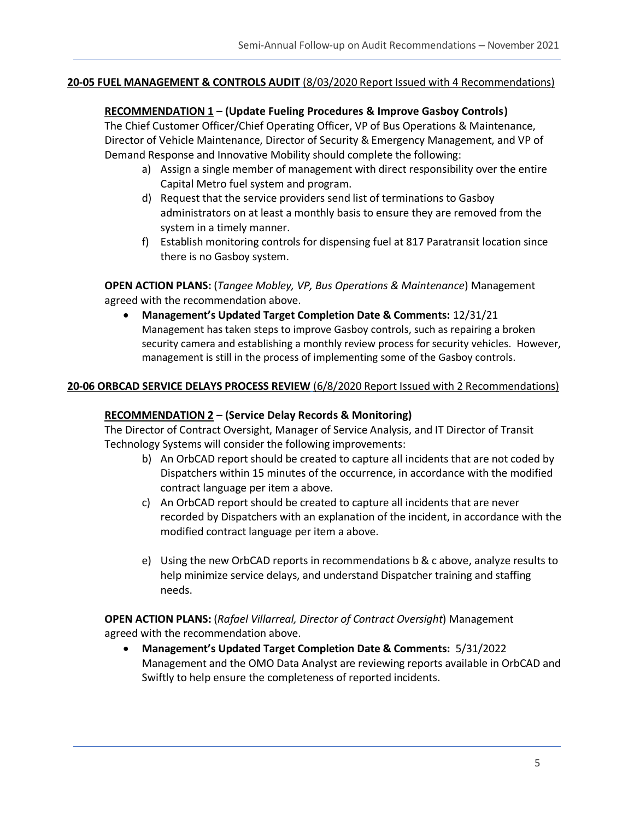#### **20-05 FUEL MANAGEMENT & CONTROLS AUDIT** (8/03/2020 Report Issued with 4 Recommendations)

#### **RECOMMENDATION 1 – (Update Fueling Procedures & Improve Gasboy Controls)**

The Chief Customer Officer/Chief Operating Officer, VP of Bus Operations & Maintenance, Director of Vehicle Maintenance, Director of Security & Emergency Management, and VP of Demand Response and Innovative Mobility should complete the following:

- a) Assign a single member of management with direct responsibility over the entire Capital Metro fuel system and program.
- d) Request that the service providers send list of terminations to Gasboy administrators on at least a monthly basis to ensure they are removed from the system in a timely manner.
- f) Establish monitoring controls for dispensing fuel at 817 Paratransit location since there is no Gasboy system.

**OPEN ACTION PLANS:** (*Tangee Mobley, VP, Bus Operations & Maintenance*) Management agreed with the recommendation above.

• **Management's Updated Target Completion Date & Comments:** 12/31/21 Management has taken steps to improve Gasboy controls, such as repairing a broken security camera and establishing a monthly review process for security vehicles. However, management is still in the process of implementing some of the Gasboy controls.

#### **20-06 ORBCAD SERVICE DELAYS PROCESS REVIEW** (6/8/2020 Report Issued with 2 Recommendations)

#### **RECOMMENDATION 2 – (Service Delay Records & Monitoring)**

The Director of Contract Oversight, Manager of Service Analysis, and IT Director of Transit Technology Systems will consider the following improvements:

- b) An OrbCAD report should be created to capture all incidents that are not coded by Dispatchers within 15 minutes of the occurrence, in accordance with the modified contract language per item a above.
- c) An OrbCAD report should be created to capture all incidents that are never recorded by Dispatchers with an explanation of the incident, in accordance with the modified contract language per item a above.
- e) Using the new OrbCAD reports in recommendations b & c above, analyze results to help minimize service delays, and understand Dispatcher training and staffing needs.

**OPEN ACTION PLANS:** (*Rafael Villarreal, Director of Contract Oversight*) Management agreed with the recommendation above.

• **Management's Updated Target Completion Date & Comments:** 5/31/2022 Management and the OMO Data Analyst are reviewing reports available in OrbCAD and Swiftly to help ensure the completeness of reported incidents.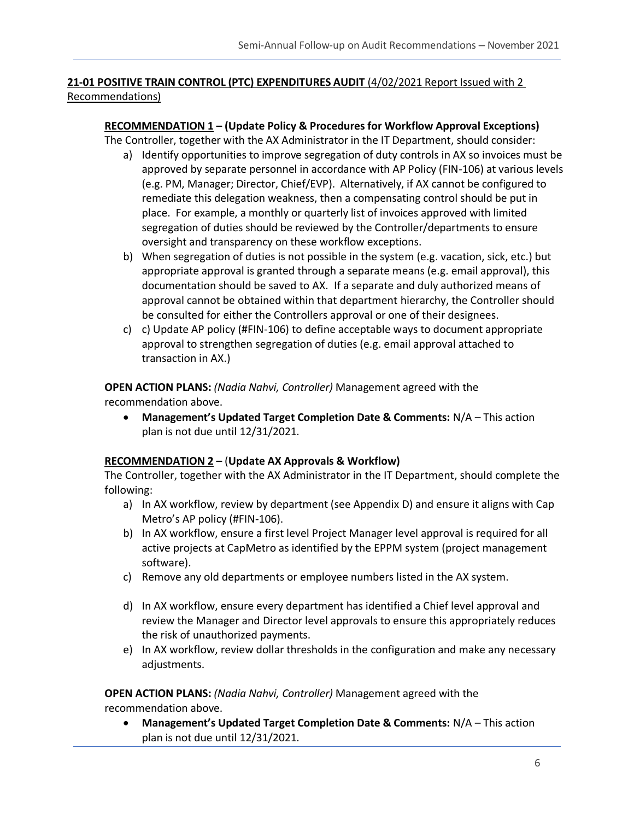#### **21-01 POSITIVE TRAIN CONTROL (PTC) EXPENDITURES AUDIT** (4/02/2021 Report Issued with 2 Recommendations)

#### **RECOMMENDATION 1 – (Update Policy & Procedures for Workflow Approval Exceptions)**

The Controller, together with the AX Administrator in the IT Department, should consider:

- a) Identify opportunities to improve segregation of duty controls in AX so invoices must be approved by separate personnel in accordance with AP Policy (FIN-106) at various levels (e.g. PM, Manager; Director, Chief/EVP). Alternatively, if AX cannot be configured to remediate this delegation weakness, then a compensating control should be put in place. For example, a monthly or quarterly list of invoices approved with limited segregation of duties should be reviewed by the Controller/departments to ensure oversight and transparency on these workflow exceptions.
- b) When segregation of duties is not possible in the system (e.g. vacation, sick, etc.) but appropriate approval is granted through a separate means (e.g. email approval), this documentation should be saved to AX. If a separate and duly authorized means of approval cannot be obtained within that department hierarchy, the Controller should be consulted for either the Controllers approval or one of their designees.
- c) c) Update AP policy (#FIN-106) to define acceptable ways to document appropriate approval to strengthen segregation of duties (e.g. email approval attached to transaction in AX.)

#### **OPEN ACTION PLANS:** *(Nadia Nahvi, Controller)* Management agreed with the

recommendation above.

• **Management's Updated Target Completion Date & Comments:** N/A – This action plan is not due until 12/31/2021.

#### **RECOMMENDATION 2 –** (**Update AX Approvals & Workflow)**

The Controller, together with the AX Administrator in the IT Department, should complete the following:

- a) In AX workflow, review by department (see Appendix D) and ensure it aligns with Cap Metro's AP policy (#FIN-106).
- b) In AX workflow, ensure a first level Project Manager level approval is required for all active projects at CapMetro as identified by the EPPM system (project management software).
- c) Remove any old departments or employee numbers listed in the AX system.
- d) In AX workflow, ensure every department has identified a Chief level approval and review the Manager and Director level approvals to ensure this appropriately reduces the risk of unauthorized payments.
- e) In AX workflow, review dollar thresholds in the configuration and make any necessary adjustments.

**OPEN ACTION PLANS:** *(Nadia Nahvi, Controller)* Management agreed with the recommendation above.

• **Management's Updated Target Completion Date & Comments:** N/A – This action plan is not due until 12/31/2021.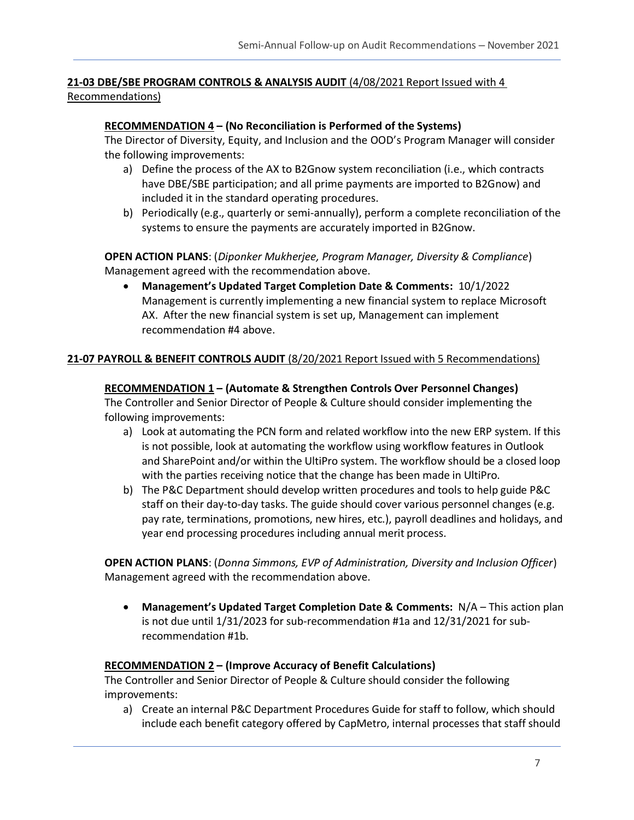# **21-03 DBE/SBE PROGRAM CONTROLS & ANALYSIS AUDIT** (4/08/2021 Report Issued with 4

Recommendations)

#### **RECOMMENDATION 4 – (No Reconciliation is Performed of the Systems)**

The Director of Diversity, Equity, and Inclusion and the OOD's Program Manager will consider the following improvements:

- a) Define the process of the AX to B2Gnow system reconciliation (i.e., which contracts have DBE/SBE participation; and all prime payments are imported to B2Gnow) and included it in the standard operating procedures.
- b) Periodically (e.g., quarterly or semi-annually), perform a complete reconciliation of the systems to ensure the payments are accurately imported in B2Gnow.

**OPEN ACTION PLANS**: (*Diponker Mukherjee, Program Manager, Diversity & Compliance*) Management agreed with the recommendation above.

• **Management's Updated Target Completion Date & Comments:** 10/1/2022 Management is currently implementing a new financial system to replace Microsoft AX. After the new financial system is set up, Management can implement recommendation #4 above.

#### **21-07 PAYROLL & BENEFIT CONTROLS AUDIT** (8/20/2021 Report Issued with 5 Recommendations)

#### **RECOMMENDATION 1 – (Automate & Strengthen Controls Over Personnel Changes)**

The Controller and Senior Director of People & Culture should consider implementing the following improvements:

- a) Look at automating the PCN form and related workflow into the new ERP system. If this is not possible, look at automating the workflow using workflow features in Outlook and SharePoint and/or within the UltiPro system. The workflow should be a closed loop with the parties receiving notice that the change has been made in UltiPro.
- b) The P&C Department should develop written procedures and tools to help guide P&C staff on their day-to-day tasks. The guide should cover various personnel changes (e.g. pay rate, terminations, promotions, new hires, etc.), payroll deadlines and holidays, and year end processing procedures including annual merit process.

**OPEN ACTION PLANS**: (*Donna Simmons, EVP of Administration, Diversity and Inclusion Officer*) Management agreed with the recommendation above.

• **Management's Updated Target Completion Date & Comments:** N/A – This action plan is not due until 1/31/2023 for sub-recommendation #1a and 12/31/2021 for subrecommendation #1b.

#### **RECOMMENDATION 2 – (Improve Accuracy of Benefit Calculations)**

The Controller and Senior Director of People & Culture should consider the following improvements:

a) Create an internal P&C Department Procedures Guide for staff to follow, which should include each benefit category offered by CapMetro, internal processes that staff should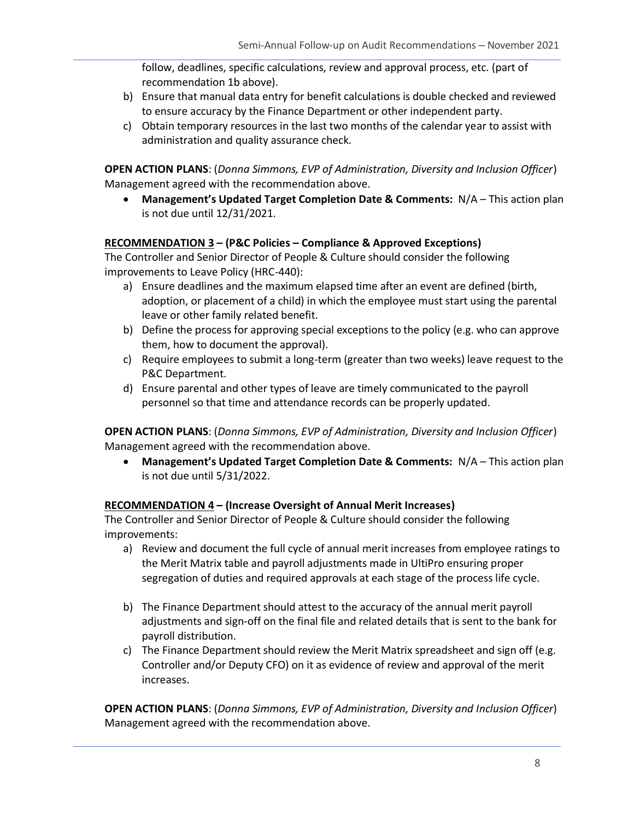follow, deadlines, specific calculations, review and approval process, etc. (part of recommendation 1b above).

- b) Ensure that manual data entry for benefit calculations is double checked and reviewed to ensure accuracy by the Finance Department or other independent party.
- c) Obtain temporary resources in the last two months of the calendar year to assist with administration and quality assurance check.

**OPEN ACTION PLANS**: (*Donna Simmons, EVP of Administration, Diversity and Inclusion Officer*) Management agreed with the recommendation above.

• **Management's Updated Target Completion Date & Comments:** N/A – This action plan is not due until 12/31/2021.

#### **RECOMMENDATION 3 – (P&C Policies – Compliance & Approved Exceptions)**

The Controller and Senior Director of People & Culture should consider the following improvements to Leave Policy (HRC-440):

- a) Ensure deadlines and the maximum elapsed time after an event are defined (birth, adoption, or placement of a child) in which the employee must start using the parental leave or other family related benefit.
- b) Define the process for approving special exceptions to the policy (e.g. who can approve them, how to document the approval).
- c) Require employees to submit a long-term (greater than two weeks) leave request to the P&C Department.
- d) Ensure parental and other types of leave are timely communicated to the payroll personnel so that time and attendance records can be properly updated.

**OPEN ACTION PLANS**: (*Donna Simmons, EVP of Administration, Diversity and Inclusion Officer*) Management agreed with the recommendation above.

• **Management's Updated Target Completion Date & Comments:** N/A – This action plan is not due until 5/31/2022.

#### **RECOMMENDATION 4 – (Increase Oversight of Annual Merit Increases)**

The Controller and Senior Director of People & Culture should consider the following improvements:

- a) Review and document the full cycle of annual merit increases from employee ratings to the Merit Matrix table and payroll adjustments made in UltiPro ensuring proper segregation of duties and required approvals at each stage of the process life cycle.
- b) The Finance Department should attest to the accuracy of the annual merit payroll adjustments and sign-off on the final file and related details that is sent to the bank for payroll distribution.
- c) The Finance Department should review the Merit Matrix spreadsheet and sign off (e.g. Controller and/or Deputy CFO) on it as evidence of review and approval of the merit increases.

**OPEN ACTION PLANS**: (*Donna Simmons, EVP of Administration, Diversity and Inclusion Officer*) Management agreed with the recommendation above.